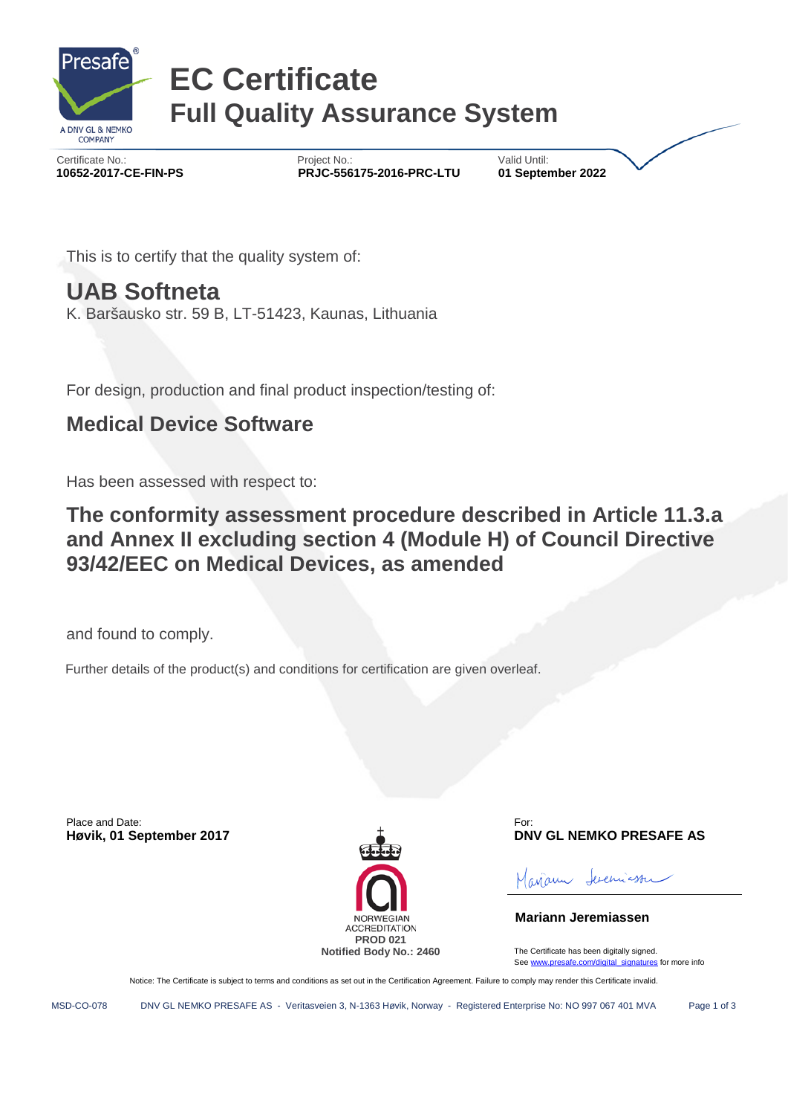

# **EC Certificate Full Quality Assurance System**

Certificate No.: Certificate No.: Certificate No.: Certificate No.: Certificate No.: 2022<br> **PRJC-556175-2016-PRC-LTU** 11 September 2022  **10652-2017-CE-FIN-PS PRJC-556175-2016-PRC-LTU 01 September 2022**

This is to certify that the quality system of:

### **UAB Softneta**

K. Baršausko str. 59 B, LT-51423, Kaunas, Lithuania

For design, production and final product inspection/testing of:

### **Medical Device Software**

Has been assessed with respect to:

**The conformity assessment procedure described in Article 11.3.a and Annex II excluding section 4 (Module H) of Council Directive 93/42/EEC on Medical Devices, as amended**

and found to comply.

Further details of the product(s) and conditions for certification are given overleaf.

Place and Date:



For: **Høvik, 01 September 2017 DNV GL NEMKO PRESAFE AS**

ferenciasser curan

**Mariann Jeremiassen**

The Certificate has been digitally signed. Se[e www.presafe.com/digital\\_signatures](http://www.presafe.com/digital_signatures) for more info

Notice: The Certificate is subject to terms and conditions as set out in the Certification Agreement. Failure to comply may render this Certificate invalid.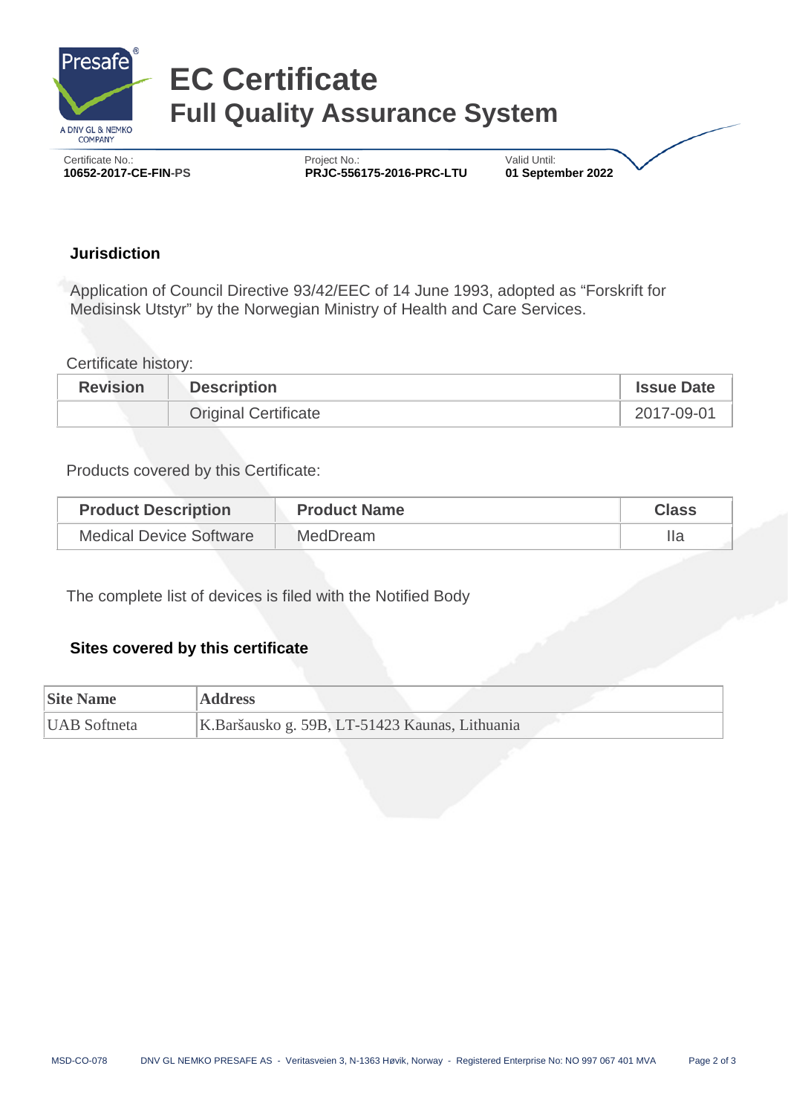

# **EC Certificate Full Quality Assurance System**

 Certificate No.: Project No.: Valid Until:  **10652-2017-CE-FIN-PS PRJC-556175-2016-PRC-LTU 01 September 2022**

#### **Jurisdiction**

Application of Council Directive 93/42/EEC of 14 June 1993, adopted as "Forskrift for Medisinsk Utstyr" by the Norwegian Ministry of Health and Care Services.

Certificate history:

| <b>Revision</b> | <b>Description</b>          | <b>Issue Date</b> |
|-----------------|-----------------------------|-------------------|
|                 | <b>Original Certificate</b> | 2017-09-01        |

Products covered by this Certificate:

| <b>Product Description</b>     | <b>Product Name</b> | <b>Class</b> |
|--------------------------------|---------------------|--------------|
| <b>Medical Device Software</b> | <b>MedDream</b>     |              |

The complete list of devices is filed with the Notified Body

#### **Sites covered by this certificate**

| <b>Site Name</b>    | <b>Address</b>                                 |
|---------------------|------------------------------------------------|
| <b>UAB</b> Softneta | K.Baršausko g. 59B, LT-51423 Kaunas, Lithuania |